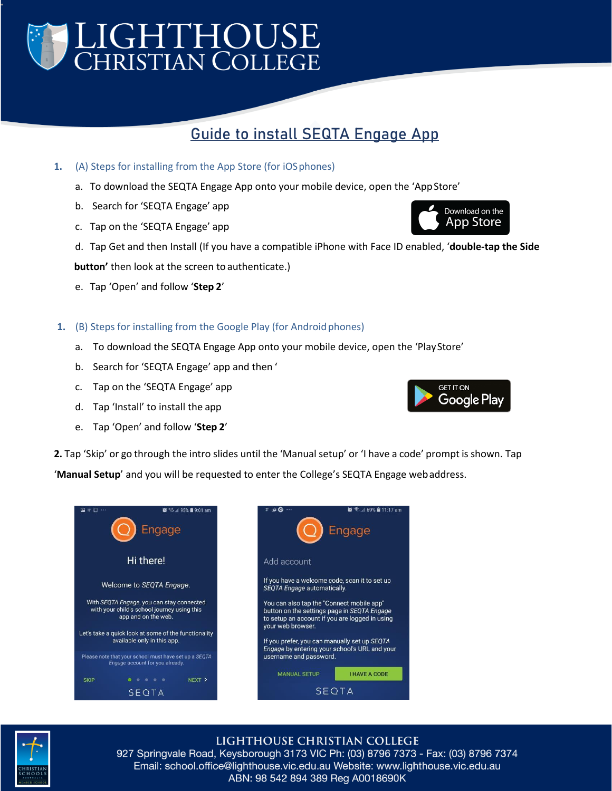# LIGHTHOUSE<br>Christian College

### **Guide to install SEQTA Engage App**

- **1.** (A) Steps for installing from the App Store (for iOSphones)
	- a. To download the SEQTA Engage App onto your mobile device, open the 'AppStore'
	- b. Search for 'SEQTA Engage' app
	- c. Tap on the 'SEQTA Engage' app
	- d. Tap Get and then Install (If you have a compatible iPhone with Face ID enabled, '**double-tap the Side**

**button'** then look at the screen to authenticate.)

- e. Tap 'Open' and follow '**Step 2**'
- **1.** (B) Steps for installing from the Google Play (for Android phones)
	- a. To download the SEQTA Engage App onto your mobile device, open the 'PlayStore'
	- b. Search for 'SEQTA Engage' app and then '
	- c. Tap on the 'SEQTA Engage' app
	- d. Tap 'Install' to install the app
	- e. Tap 'Open' and follow '**Step 2**'

**2.** Tap 'Skip' or go through the intro slides until the 'Manual setup' or 'I have a code' prompt is shown. Tap

'**Manual Setup**' and you will be requested to enter the College's SEQTA Engage webaddress.





#### LIGHTHOUSE CHRISTIAN COLLEGE

927 Springvale Road, Keysborough 3173 VIC Ph: (03) 8796 7373 - Fax: (03) 8796 7374 Email: school.office@lighthouse.vic.edu.au Website: www.lighthouse.vic.edu.au ABN: 98 542 894 389 Reg A0018690K